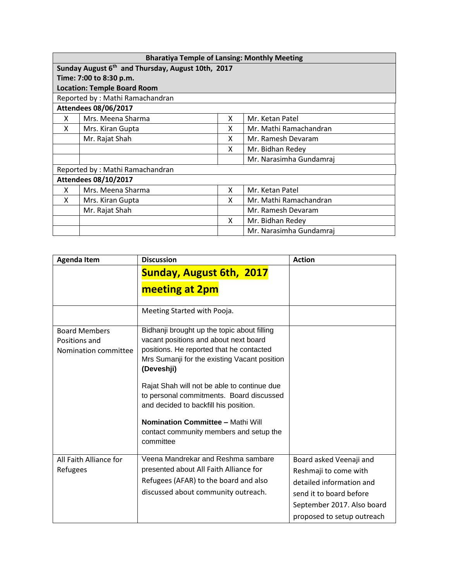| <b>Bharatiya Temple of Lansing: Monthly Meeting</b> |                                                               |   |                         |
|-----------------------------------------------------|---------------------------------------------------------------|---|-------------------------|
|                                                     | Sunday August 6 <sup>th</sup> and Thursday, August 10th, 2017 |   |                         |
|                                                     | Time: 7:00 to 8:30 p.m.                                       |   |                         |
|                                                     | <b>Location: Temple Board Room</b>                            |   |                         |
|                                                     | Reported by: Mathi Ramachandran                               |   |                         |
|                                                     | <b>Attendees 08/06/2017</b>                                   |   |                         |
| X                                                   | Mrs. Meena Sharma                                             | x | Mr. Ketan Patel         |
| X                                                   | Mrs. Kiran Gupta                                              | x | Mr. Mathi Ramachandran  |
|                                                     | Mr. Rajat Shah                                                | x | Mr. Ramesh Devaram      |
|                                                     |                                                               | x | Mr. Bidhan Redey        |
|                                                     |                                                               |   | Mr. Narasimha Gundamraj |
| Reported by: Mathi Ramachandran                     |                                                               |   |                         |
| <b>Attendees 08/10/2017</b>                         |                                                               |   |                         |
| X                                                   | Mrs. Meena Sharma                                             | x | Mr. Ketan Patel         |
| X                                                   | Mrs. Kiran Gupta                                              | x | Mr. Mathi Ramachandran  |
|                                                     | Mr. Rajat Shah                                                |   | Mr. Ramesh Devaram      |
|                                                     |                                                               | X | Mr. Bidhan Redey        |
|                                                     |                                                               |   | Mr. Narasimha Gundamraj |

| <b>Agenda Item</b>                                            | <b>Discussion</b>                                                                                                                                                                                                                                                                                                                                                                                                                      | <b>Action</b>                                                                                                                                                       |
|---------------------------------------------------------------|----------------------------------------------------------------------------------------------------------------------------------------------------------------------------------------------------------------------------------------------------------------------------------------------------------------------------------------------------------------------------------------------------------------------------------------|---------------------------------------------------------------------------------------------------------------------------------------------------------------------|
|                                                               | <b>Sunday, August 6th, 2017</b>                                                                                                                                                                                                                                                                                                                                                                                                        |                                                                                                                                                                     |
|                                                               | meeting at 2pm                                                                                                                                                                                                                                                                                                                                                                                                                         |                                                                                                                                                                     |
|                                                               | Meeting Started with Pooja.                                                                                                                                                                                                                                                                                                                                                                                                            |                                                                                                                                                                     |
| <b>Board Members</b><br>Positions and<br>Nomination committee | Bidhanji brought up the topic about filling<br>vacant positions and about next board<br>positions. He reported that he contacted<br>Mrs Sumanji for the existing Vacant position<br>(Deveshji)<br>Rajat Shah will not be able to continue due<br>to personal commitments. Board discussed<br>and decided to backfill his position.<br><b>Nomination Committee - Mathi Will</b><br>contact community members and setup the<br>committee |                                                                                                                                                                     |
| All Faith Alliance for<br>Refugees                            | Veena Mandrekar and Reshma sambare<br>presented about All Faith Alliance for<br>Refugees (AFAR) to the board and also<br>discussed about community outreach.                                                                                                                                                                                                                                                                           | Board asked Veenaji and<br>Reshmaji to come with<br>detailed information and<br>send it to board before<br>September 2017. Also board<br>proposed to setup outreach |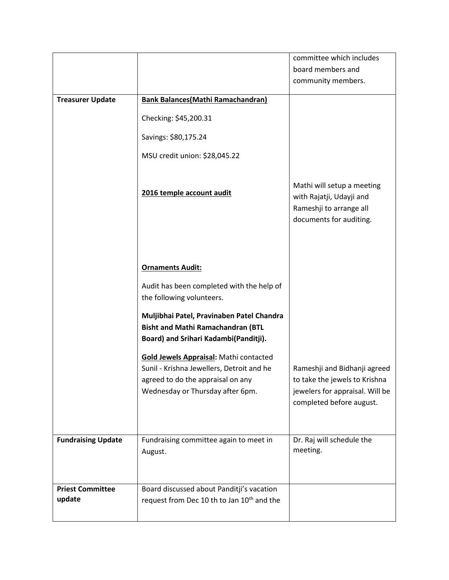|                                   |                                                                                                                                                                     | committee which includes                                                                                                     |
|-----------------------------------|---------------------------------------------------------------------------------------------------------------------------------------------------------------------|------------------------------------------------------------------------------------------------------------------------------|
|                                   |                                                                                                                                                                     | board members and                                                                                                            |
|                                   |                                                                                                                                                                     | community members.                                                                                                           |
|                                   |                                                                                                                                                                     |                                                                                                                              |
| <b>Treasurer Update</b>           | <b>Bank Balances (Mathi Ramachandran)</b>                                                                                                                           |                                                                                                                              |
|                                   | Checking: \$45,200.31                                                                                                                                               |                                                                                                                              |
|                                   | Savings: \$80,175.24                                                                                                                                                |                                                                                                                              |
|                                   | MSU credit union: \$28,045.22                                                                                                                                       |                                                                                                                              |
|                                   | 2016 temple account audit                                                                                                                                           | Mathi will setup a meeting<br>with Rajatji, Udayji and<br>Rameshji to arrange all<br>documents for auditing.                 |
|                                   | <b>Ornaments Audit:</b><br>Audit has been completed with the help of<br>the following volunteers.                                                                   |                                                                                                                              |
|                                   | Muljibhai Patel, Pravinaben Patel Chandra<br><b>Bisht and Mathi Ramachandran (BTL</b><br>Board) and Srihari Kadambi(Panditji).                                      |                                                                                                                              |
|                                   | <b>Gold Jewels Appraisal: Mathi contacted</b><br>Sunil - Krishna Jewellers, Detroit and he<br>agreed to do the appraisal on any<br>Wednesday or Thursday after 6pm. | Rameshji and Bidhanji agreed<br>to take the jewels to Krishna<br>jewelers for appraisal. Will be<br>completed before august. |
| <b>Fundraising Update</b>         | Fundraising committee again to meet in<br>August.                                                                                                                   | Dr. Raj will schedule the<br>meeting.                                                                                        |
| <b>Priest Committee</b><br>update | Board discussed about Panditji's vacation<br>request from Dec 10 th to Jan 10 <sup>th</sup> and the                                                                 |                                                                                                                              |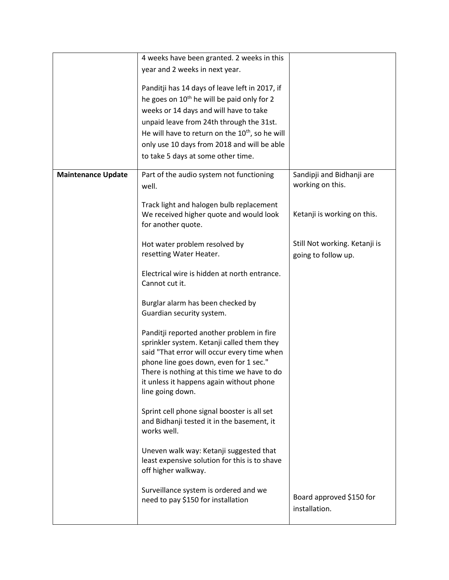|                           | 4 weeks have been granted. 2 weeks in this                     |                               |
|---------------------------|----------------------------------------------------------------|-------------------------------|
|                           | year and 2 weeks in next year.                                 |                               |
|                           | Panditji has 14 days of leave left in 2017, if                 |                               |
|                           | he goes on 10 <sup>th</sup> he will be paid only for 2         |                               |
|                           |                                                                |                               |
|                           | weeks or 14 days and will have to take                         |                               |
|                           | unpaid leave from 24th through the 31st.                       |                               |
|                           | He will have to return on the 10 <sup>th</sup> , so he will    |                               |
|                           | only use 10 days from 2018 and will be able                    |                               |
|                           | to take 5 days at some other time.                             |                               |
| <b>Maintenance Update</b> | Part of the audio system not functioning                       | Sandipji and Bidhanji are     |
|                           | well.                                                          | working on this.              |
|                           |                                                                |                               |
|                           | Track light and halogen bulb replacement                       |                               |
|                           | We received higher quote and would look                        | Ketanji is working on this.   |
|                           | for another quote.                                             |                               |
|                           |                                                                |                               |
|                           | Hot water problem resolved by                                  | Still Not working. Ketanji is |
|                           | resetting Water Heater.                                        | going to follow up.           |
|                           |                                                                |                               |
|                           | Electrical wire is hidden at north entrance.<br>Cannot cut it. |                               |
|                           |                                                                |                               |
|                           | Burglar alarm has been checked by                              |                               |
|                           | Guardian security system.                                      |                               |
|                           |                                                                |                               |
|                           | Panditji reported another problem in fire                      |                               |
|                           | sprinkler system. Ketanji called them they                     |                               |
|                           | said "That error will occur every time when                    |                               |
|                           | phone line goes down, even for 1 sec."                         |                               |
|                           | There is nothing at this time we have to do                    |                               |
|                           | it unless it happens again without phone                       |                               |
|                           | line going down.                                               |                               |
|                           | Sprint cell phone signal booster is all set                    |                               |
|                           | and Bidhanji tested it in the basement, it                     |                               |
|                           | works well.                                                    |                               |
|                           |                                                                |                               |
|                           | Uneven walk way: Ketanji suggested that                        |                               |
|                           | least expensive solution for this is to shave                  |                               |
|                           | off higher walkway.                                            |                               |
|                           |                                                                |                               |
|                           | Surveillance system is ordered and we                          | Board approved \$150 for      |
|                           | need to pay \$150 for installation                             |                               |
|                           |                                                                | installation.                 |
|                           |                                                                |                               |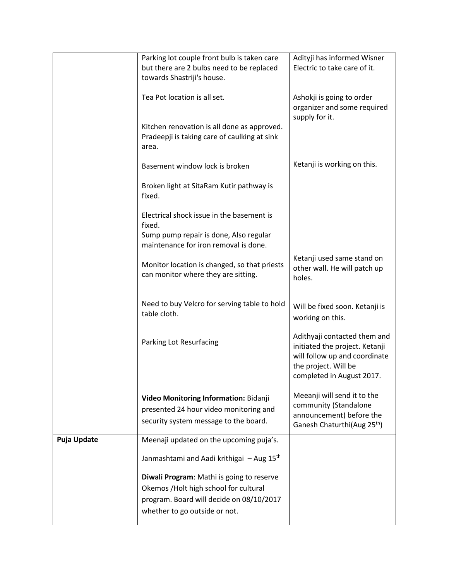|                    | Parking lot couple front bulb is taken care                                                          | Adityji has informed Wisner                                                                                                                          |
|--------------------|------------------------------------------------------------------------------------------------------|------------------------------------------------------------------------------------------------------------------------------------------------------|
|                    | but there are 2 bulbs need to be replaced                                                            | Electric to take care of it.                                                                                                                         |
|                    | towards Shastriji's house.                                                                           |                                                                                                                                                      |
|                    | Tea Pot location is all set.                                                                         | Ashokji is going to order<br>organizer and some required<br>supply for it.                                                                           |
|                    | Kitchen renovation is all done as approved.<br>Pradeepji is taking care of caulking at sink<br>area. |                                                                                                                                                      |
|                    | Basement window lock is broken                                                                       | Ketanji is working on this.                                                                                                                          |
|                    | Broken light at SitaRam Kutir pathway is<br>fixed.                                                   |                                                                                                                                                      |
|                    | Electrical shock issue in the basement is<br>fixed.                                                  |                                                                                                                                                      |
|                    | Sump pump repair is done, Also regular<br>maintenance for iron removal is done.                      |                                                                                                                                                      |
|                    | Monitor location is changed, so that priests<br>can monitor where they are sitting.                  | Ketanji used same stand on<br>other wall. He will patch up<br>holes.                                                                                 |
|                    | Need to buy Velcro for serving table to hold<br>table cloth.                                         | Will be fixed soon. Ketanji is<br>working on this.                                                                                                   |
|                    | Parking Lot Resurfacing                                                                              | Adithyaji contacted them and<br>initiated the project. Ketanji<br>will follow up and coordinate<br>the project. Will be<br>completed in August 2017. |
|                    |                                                                                                      | Meeanji will send it to the                                                                                                                          |
|                    | Video Monitoring Information: Bidanji                                                                | community (Standalone                                                                                                                                |
|                    | presented 24 hour video monitoring and                                                               | announcement) before the                                                                                                                             |
|                    | security system message to the board.                                                                | Ganesh Chaturthi(Aug 25 <sup>th</sup> )                                                                                                              |
| <b>Puja Update</b> | Meenaji updated on the upcoming puja's.                                                              |                                                                                                                                                      |
|                    | Janmashtami and Aadi krithigai - Aug 15 <sup>th</sup>                                                |                                                                                                                                                      |
|                    | Diwali Program: Mathi is going to reserve                                                            |                                                                                                                                                      |
|                    | Okemos / Holt high school for cultural                                                               |                                                                                                                                                      |
|                    | program. Board will decide on 08/10/2017                                                             |                                                                                                                                                      |
|                    | whether to go outside or not.                                                                        |                                                                                                                                                      |
|                    |                                                                                                      |                                                                                                                                                      |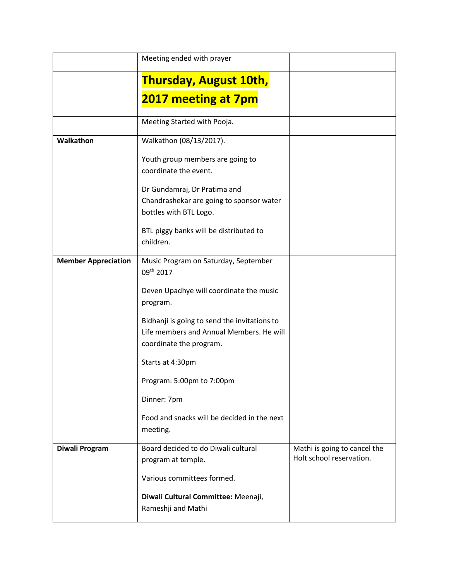|                            | Meeting ended with prayer                                                                                           |                                                          |
|----------------------------|---------------------------------------------------------------------------------------------------------------------|----------------------------------------------------------|
|                            | <b>Thursday, August 10th,</b>                                                                                       |                                                          |
|                            | 2017 meeting at 7pm                                                                                                 |                                                          |
|                            | Meeting Started with Pooja.                                                                                         |                                                          |
| Walkathon                  | Walkathon (08/13/2017).                                                                                             |                                                          |
|                            | Youth group members are going to<br>coordinate the event.                                                           |                                                          |
|                            | Dr Gundamraj, Dr Pratima and<br>Chandrashekar are going to sponsor water<br>bottles with BTL Logo.                  |                                                          |
|                            | BTL piggy banks will be distributed to<br>children.                                                                 |                                                          |
| <b>Member Appreciation</b> | Music Program on Saturday, September<br>09th 2017                                                                   |                                                          |
|                            | Deven Upadhye will coordinate the music<br>program.                                                                 |                                                          |
|                            | Bidhanji is going to send the invitations to<br>Life members and Annual Members. He will<br>coordinate the program. |                                                          |
|                            | Starts at 4:30pm                                                                                                    |                                                          |
|                            | Program: 5:00pm to 7:00pm                                                                                           |                                                          |
|                            | Dinner: 7pm                                                                                                         |                                                          |
|                            | Food and snacks will be decided in the next<br>meeting.                                                             |                                                          |
| Diwali Program             | Board decided to do Diwali cultural<br>program at temple.                                                           | Mathi is going to cancel the<br>Holt school reservation. |
|                            | Various committees formed.                                                                                          |                                                          |
|                            | Diwali Cultural Committee: Meenaji,<br>Rameshji and Mathi                                                           |                                                          |